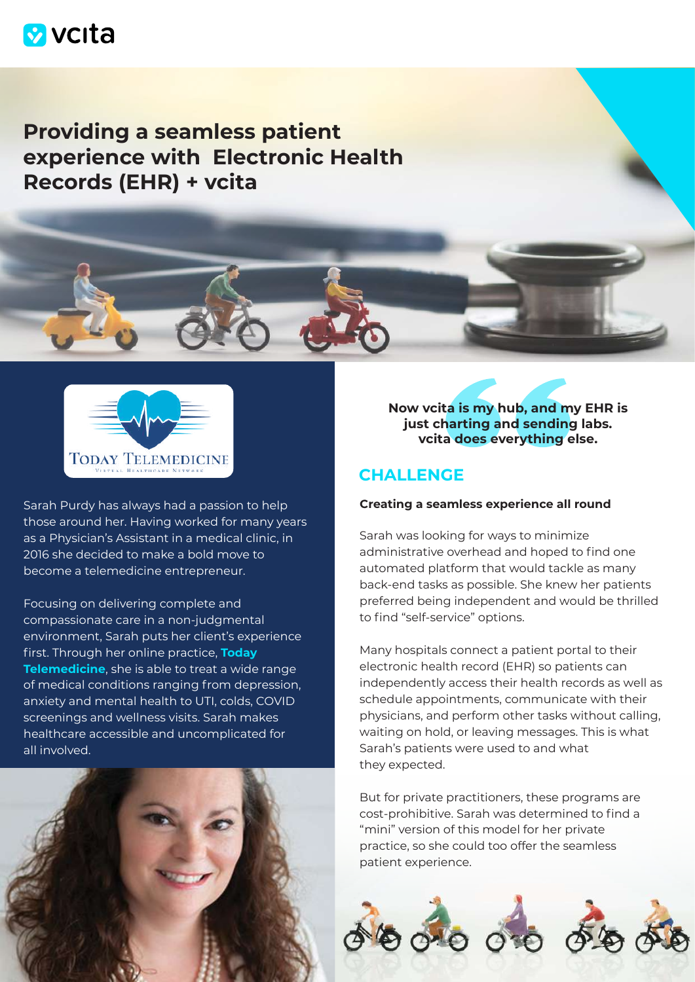

# **Providing a seamless patient experience with Electronic Health Records (EHR) + vcita**



Sarah Purdy has always had a passion to help those around her. Having worked for many years as a Physician's Assistant in a medical clinic, in 2016 she decided to make a bold move to become a telemedicine entrepreneur.

Focusing on delivering complete and compassionate care in a non-judgmental environment, Sarah puts her client's experience first. Through her online practice, **[Today](https://www.todaytelemedicine.com/)  [Telemedicine](https://www.todaytelemedicine.com/)**, she is able to treat a wide range of medical conditions ranging from depression, anxiety and mental health to UTI, colds, COVID screenings and wellness visits. Sarah makes healthcare accessible and uncomplicated for all involved.



**Now vcita is my hub, and my EHR is just charting and sending labs. vcita does everything else.**

### **CHALLENGE**

#### **Creating a seamless experience all round**

Sarah was looking for ways to minimize administrative overhead and hoped to find one automated platform that would tackle as many back-end tasks as possible. She knew her patients preferred being independent and would be thrilled to find "self-service" options.

Many hospitals connect a patient portal to their electronic health record (EHR) so patients can independently access their health records as well as schedule appointments, communicate with their physicians, and perform other tasks without calling, waiting on hold, or leaving messages. This is what Sarah's patients were used to and what they expected.

But for private practitioners, these programs are cost-prohibitive. Sarah was determined to find a "mini" version of this model for her private practice, so she could too offer the seamless patient experience.